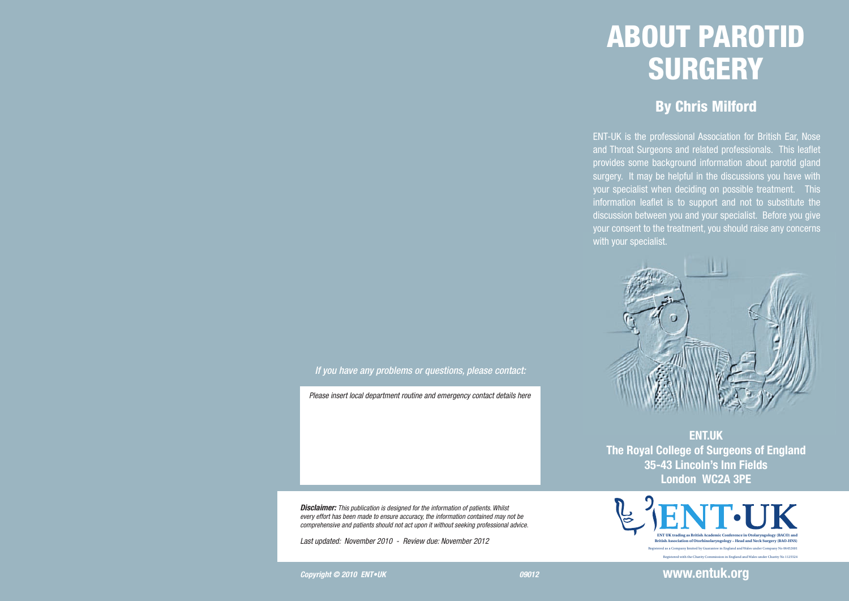# ABOUT PAROTID **SURGERY**

### By Chris Milford

ENT-UK is the professional Association for British Ear, Nose and Throat Surgeons and related professionals. This leaflet provides some background information about parotid gland surgery. It may be helpful in the discussions you have with your specialist when deciding on possible treatment. This information leaflet is to support and not to substitute the discussion between you and your specialist. Before you give your consent to the treatment, you should raise any concerns with your specialist.



**ENT.UK The Royal College of Surgeons of England 35-43 Lincoln's Inn Fields London WC2A 3PE**



#### *If you have any problems or questions, please contact:*

*Please insert local department routine and emergency contact details here*

*Disclaimer: This publication is designed for the information of patients. Whilst every effort has been made to ensure accuracy, the information contained may not be comprehensive and patients should not act upon it without seeking professional advice.*

*Last updated: November 2010 - Review due: November 2012* 

**Copyright © 2010 ENT•UK COPYRIGHT COPYRIGHT COPYRIGHT COPYRIGHT** 

**www.entuk.org**